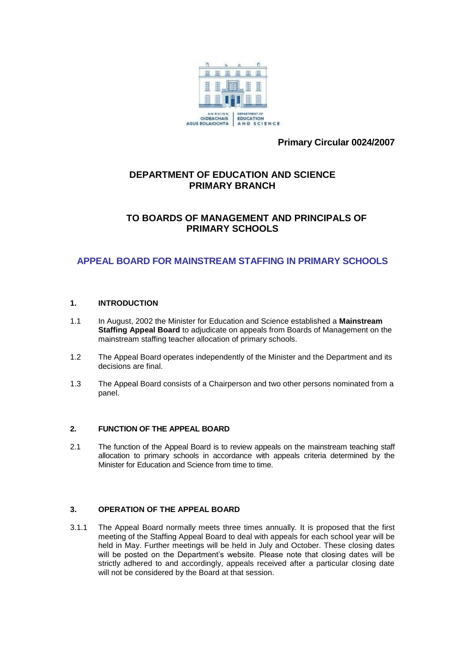

**Primary Circular 0024/2007**

# **DEPARTMENT OF EDUCATION AND SCIENCE PRIMARY BRANCH**

# **TO BOARDS OF MANAGEMENT AND PRINCIPALS OF PRIMARY SCHOOLS**

# **APPEAL BOARD FOR MAINSTREAM STAFFING IN PRIMARY SCHOOLS**

## **1. INTRODUCTION**

- 1.1 In August, 2002 the Minister for Education and Science established a **Mainstream Staffing Appeal Board** to adjudicate on appeals from Boards of Management on the mainstream staffing teacher allocation of primary schools.
- 1.2 The Appeal Board operates independently of the Minister and the Department and its decisions are final.
- 1.3 The Appeal Board consists of a Chairperson and two other persons nominated from a panel.

### **2. FUNCTION OF THE APPEAL BOARD**

2.1 The function of the Appeal Board is to review appeals on the mainstream teaching staff allocation to primary schools in accordance with appeals criteria determined by the Minister for Education and Science from time to time.

## **3. OPERATION OF THE APPEAL BOARD**

3.1.1 The Appeal Board normally meets three times annually. It is proposed that the first meeting of the Staffing Appeal Board to deal with appeals for each school year will be held in May. Further meetings will be held in July and October. These closing dates will be posted on the Department's website. Please note that closing dates will be strictly adhered to and accordingly, appeals received after a particular closing date will not be considered by the Board at that session.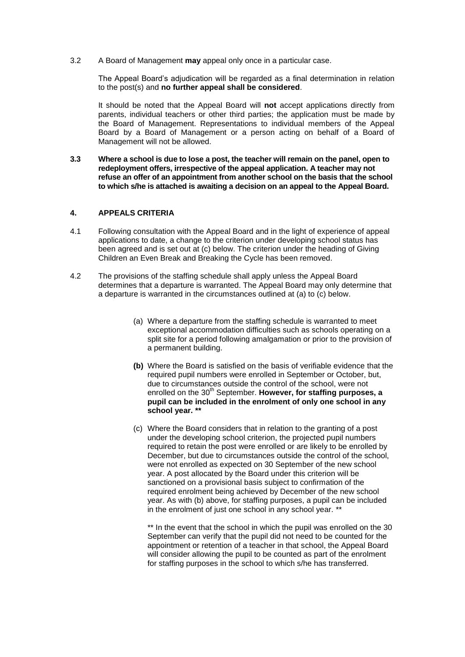3.2 A Board of Management **may** appeal only once in a particular case.

The Appeal Board's adjudication will be regarded as a final determination in relation to the post(s) and **no further appeal shall be considered**.

It should be noted that the Appeal Board will **not** accept applications directly from parents, individual teachers or other third parties; the application must be made by the Board of Management. Representations to individual members of the Appeal Board by a Board of Management or a person acting on behalf of a Board of Management will not be allowed.

**3.3 Where a school is due to lose a post, the teacher will remain on the panel, open to redeployment offers, irrespective of the appeal application. A teacher may not refuse an offer of an appointment from another school on the basis that the school to which s/he is attached is awaiting a decision on an appeal to the Appeal Board.**

#### **4. APPEALS CRITERIA**

- 4.1 Following consultation with the Appeal Board and in the light of experience of appeal applications to date, a change to the criterion under developing school status has been agreed and is set out at (c) below. The criterion under the heading of Giving Children an Even Break and Breaking the Cycle has been removed.
- 4.2 The provisions of the staffing schedule shall apply unless the Appeal Board determines that a departure is warranted. The Appeal Board may only determine that a departure is warranted in the circumstances outlined at (a) to (c) below.
	- (a) Where a departure from the staffing schedule is warranted to meet exceptional accommodation difficulties such as schools operating on a split site for a period following amalgamation or prior to the provision of a permanent building.
	- **(b)** Where the Board is satisfied on the basis of verifiable evidence that the required pupil numbers were enrolled in September or October, but, due to circumstances outside the control of the school, were not enrolled on the 30<sup>th</sup> September. **However, for staffing purposes, a pupil can be included in the enrolment of only one school in any school year. \*\***
	- (c) Where the Board considers that in relation to the granting of a post under the developing school criterion, the projected pupil numbers required to retain the post were enrolled or are likely to be enrolled by December, but due to circumstances outside the control of the school, were not enrolled as expected on 30 September of the new school year. A post allocated by the Board under this criterion will be sanctioned on a provisional basis subject to confirmation of the required enrolment being achieved by December of the new school year. As with (b) above, for staffing purposes, a pupil can be included in the enrolment of just one school in any school year. \*\*

\*\* In the event that the school in which the pupil was enrolled on the 30 September can verify that the pupil did not need to be counted for the appointment or retention of a teacher in that school, the Appeal Board will consider allowing the pupil to be counted as part of the enrolment for staffing purposes in the school to which s/he has transferred.